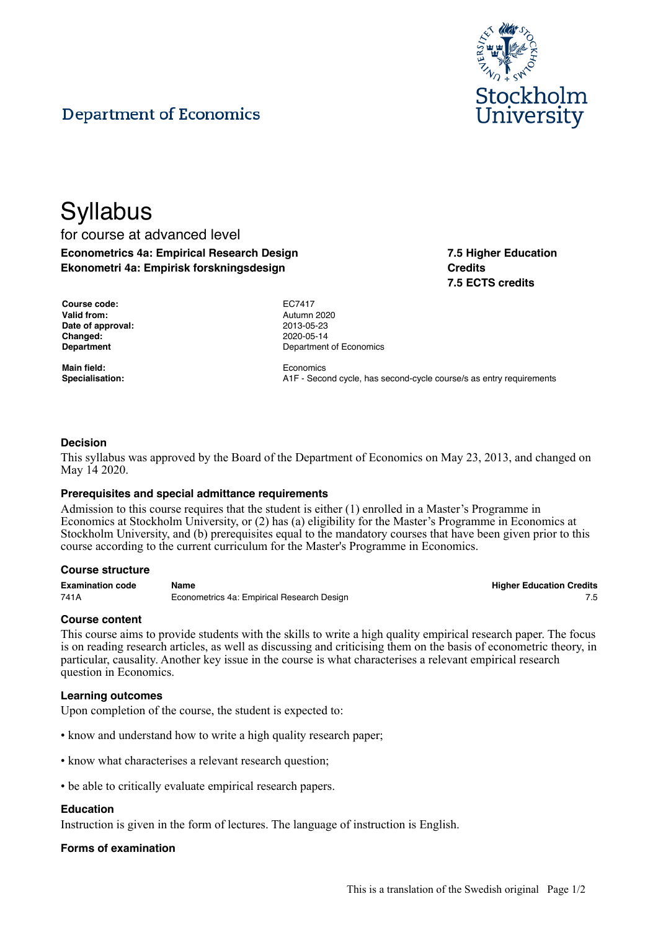

**7.5 Higher Education**

**7.5 ECTS credits**

**Credits**

# **Department of Economics**

# **Syllabus** for course at advanced level **Econometrics 4a: Empirical Research Design Ekonometri 4a: Empirisk forskningsdesign**

| Course code:      |
|-------------------|
| Valid from:       |
| Date of approval: |
| Changed:          |
| <b>Denartment</b> |

**Main field:** Economics

**Course code:** EC7417 **Valid from:** Autumn 2020 **Date of approval:** 2013-05-23 **Changed:** 2020-05-14 **Department of Economics** 

**Specialisation:** A1F - Second cycle, has second-cycle course/s as entry requirements

## **Decision**

This syllabus was approved by the Board of the Department of Economics on May 23, 2013, and changed on May 14 2020.

## **Prerequisites and special admittance requirements**

Admission to this course requires that the student is either (1) enrolled in a Master's Programme in Economics at Stockholm University, or (2) has (a) eligibility for the Master's Programme in Economics at Stockholm University, and (b) prerequisites equal to the mandatory courses that have been given prior to this course according to the current curriculum for the Master's Programme in Economics.

### **Course structure**

**Examination code Name Higher Education Credits** 741A **Econometrics 4a: Empirical Research Design** 755

### **Course content**

This course aims to provide students with the skills to write a high quality empirical research paper. The focus is on reading research articles, as well as discussing and criticising them on the basis of econometric theory, in particular, causality. Another key issue in the course is what characterises a relevant empirical research question in Economics.

## **Learning outcomes**

Upon completion of the course, the student is expected to:

- know and understand how to write a high quality research paper;
- know what characterises a relevant research question;
- be able to critically evaluate empirical research papers.

### **Education**

Instruction is given in the form of lectures. The language of instruction is English.

## **Forms of examination**